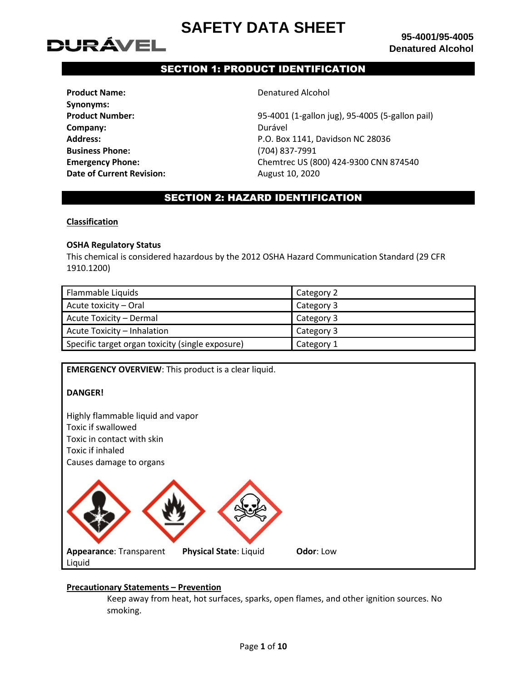

# SECTION 1: PRODUCT IDENTIFICATION

| <b>Product Name:</b>             |
|----------------------------------|
| Synonyms:                        |
| <b>Product Number:</b>           |
| Company:                         |
| <b>Address:</b>                  |
| <b>Business Phone:</b>           |
| <b>Emergency Phone:</b>          |
| <b>Date of Current Revision:</b> |

**Penatured Alcohol** 

**Product Number:** 95-4001 (1-gallon jug), 95-4005 (5-gallon pail) **Company:** Durável **Address:** P.O. Box 1141, Davidson NC 28036 **Business Phone:** (704) 837-7991 **Emergency Phone:** Chemtrec US (800) 424-9300 CNN 874540 **Date of Current Revision:** August 10, 2020

# SECTION 2: HAZARD IDENTIFICATION

# **Classification**

# **OSHA Regulatory Status**

This chemical is considered hazardous by the 2012 OSHA Hazard Communication Standard (29 CFR 1910.1200)

| Flammable Liquids                                | Category 2 |
|--------------------------------------------------|------------|
| Acute toxicity - Oral                            | Category 3 |
| Acute Toxicity - Dermal                          | Category 3 |
| Acute Toxicity - Inhalation                      | Category 3 |
| Specific target organ toxicity (single exposure) | Category 1 |

**EMERGENCY OVERVIEW**: This product is a clear liquid.

# **DANGER!**

Highly flammable liquid and vapor Toxic if swallowed Toxic in contact with skin Toxic if inhaled Causes damage to organs



# **Precautionary Statements – Prevention**

Keep away from heat, hot surfaces, sparks, open flames, and other ignition sources. No smoking.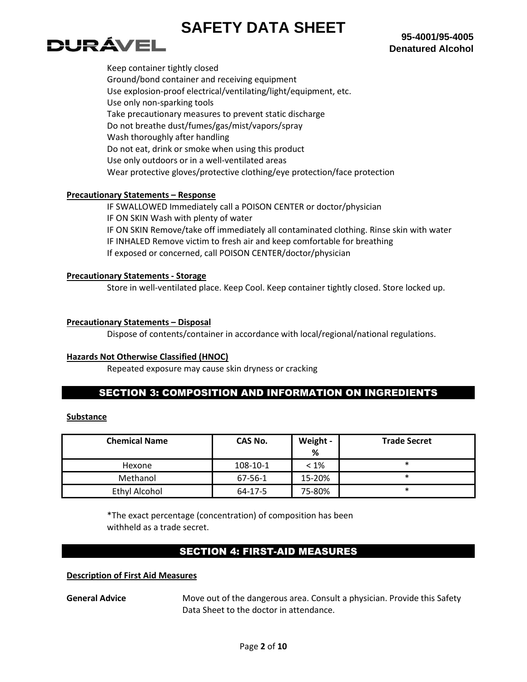

Keep container tightly closed Ground/bond container and receiving equipment Use explosion-proof electrical/ventilating/light/equipment, etc. Use only non-sparking tools Take precautionary measures to prevent static discharge Do not breathe dust/fumes/gas/mist/vapors/spray Wash thoroughly after handling Do not eat, drink or smoke when using this product Use only outdoors or in a well-ventilated areas Wear protective gloves/protective clothing/eye protection/face protection

# **Precautionary Statements – Response**

IF SWALLOWED Immediately call a POISON CENTER or doctor/physician IF ON SKIN Wash with plenty of water IF ON SKIN Remove/take off immediately all contaminated clothing. Rinse skin with water IF INHALED Remove victim to fresh air and keep comfortable for breathing If exposed or concerned, call POISON CENTER/doctor/physician

#### **Precautionary Statements - Storage**

Store in well-ventilated place. Keep Cool. Keep container tightly closed. Store locked up.

# **Precautionary Statements – Disposal**

Dispose of contents/container in accordance with local/regional/national regulations.

# **Hazards Not Otherwise Classified (HNOC)**

Repeated exposure may cause skin dryness or cracking

# SECTION 3: COMPOSITION AND INFORMATION ON INGREDIENTS

## **Substance**

| <b>Chemical Name</b> | CAS No.  | Weight -<br>% | <b>Trade Secret</b> |
|----------------------|----------|---------------|---------------------|
| Hexone               | 108-10-1 | $< 1\%$       | ∗                   |
| Methanol             | 67-56-1  | 15-20%        | $\ast$              |
| <b>Ethyl Alcohol</b> | 64-17-5  | 75-80%        | ∗                   |

\*The exact percentage (concentration) of composition has been withheld as a trade secret.

# SECTION 4: FIRST-AID MEASURES

#### **Description of First Aid Measures**

**General Advice** Move out of the dangerous area. Consult a physician. Provide this Safety Data Sheet to the doctor in attendance.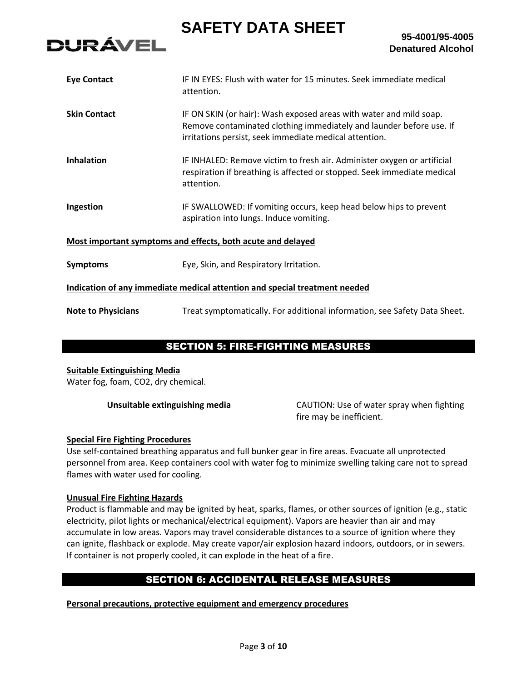

| <b>Eye Contact</b>                                          | IF IN EYES: Flush with water for 15 minutes. Seek immediate medical<br>attention.                                                                                                                   |  |
|-------------------------------------------------------------|-----------------------------------------------------------------------------------------------------------------------------------------------------------------------------------------------------|--|
| <b>Skin Contact</b>                                         | IF ON SKIN (or hair): Wash exposed areas with water and mild soap.<br>Remove contaminated clothing immediately and launder before use. If<br>irritations persist, seek immediate medical attention. |  |
| <b>Inhalation</b>                                           | IF INHALED: Remove victim to fresh air. Administer oxygen or artificial<br>respiration if breathing is affected or stopped. Seek immediate medical<br>attention.                                    |  |
| Ingestion                                                   | IF SWALLOWED: If vomiting occurs, keep head below hips to prevent<br>aspiration into lungs. Induce vomiting.                                                                                        |  |
| Most important symptoms and effects, both acute and delayed |                                                                                                                                                                                                     |  |
| <b>Symptoms</b>                                             | Eye, Skin, and Respiratory Irritation.                                                                                                                                                              |  |
|                                                             | Indication of any immediate medical attention and special treatment needed                                                                                                                          |  |
| <b>Note to Physicians</b>                                   | Treat symptomatically. For additional information, see Safety Data Sheet.                                                                                                                           |  |

# SECTION 5: FIRE-FIGHTING MEASURES

# **Suitable Extinguishing Media**

Water fog, foam, CO2, dry chemical.

**Unsuitable extinguishing media** CAUTION: Use of water spray when fighting fire may be inefficient.

# **Special Fire Fighting Procedures**

Use self-contained breathing apparatus and full bunker gear in fire areas. Evacuate all unprotected personnel from area. Keep containers cool with water fog to minimize swelling taking care not to spread flames with water used for cooling.

# **Unusual Fire Fighting Hazards**

Product is flammable and may be ignited by heat, sparks, flames, or other sources of ignition (e.g., static electricity, pilot lights or mechanical/electrical equipment). Vapors are heavier than air and may accumulate in low areas. Vapors may travel considerable distances to a source of ignition where they can ignite, flashback or explode. May create vapor/air explosion hazard indoors, outdoors, or in sewers. If container is not properly cooled, it can explode in the heat of a fire.

# SECTION 6: ACCIDENTAL RELEASE MEASURES

**Personal precautions, protective equipment and emergency procedures**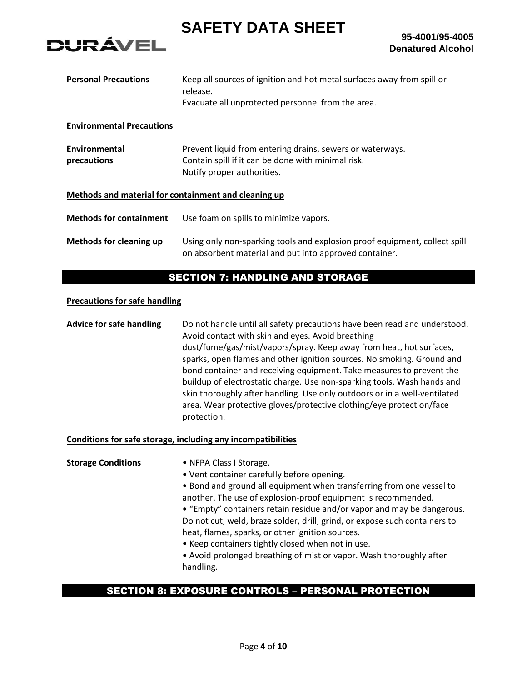

**95-4001/95-4005 Denatured Alcohol**

| Keep all sources of ignition and hot metal surfaces away from spill or<br>release.<br>Evacuate all unprotected personnel from the area.       |  |
|-----------------------------------------------------------------------------------------------------------------------------------------------|--|
|                                                                                                                                               |  |
| Prevent liquid from entering drains, sewers or waterways.<br>Contain spill if it can be done with minimal risk.<br>Notify proper authorities. |  |
| Methods and material for containment and cleaning up                                                                                          |  |
| Use foam on spills to minimize vapors.                                                                                                        |  |
| Using only non-sparking tools and explosion proof equipment, collect spill<br>on absorbent material and put into approved container.          |  |
|                                                                                                                                               |  |

# SECTION 7: HANDLING AND STORAGE

# **Precautions for safe handling**

**Advice for safe handling** Do not handle until all safety precautions have been read and understood. Avoid contact with skin and eyes. Avoid breathing dust/fume/gas/mist/vapors/spray. Keep away from heat, hot surfaces, sparks, open flames and other ignition sources. No smoking. Ground and bond container and receiving equipment. Take measures to prevent the buildup of electrostatic charge. Use non-sparking tools. Wash hands and skin thoroughly after handling. Use only outdoors or in a well-ventilated area. Wear protective gloves/protective clothing/eye protection/face protection.

#### **Conditions for safe storage, including any incompatibilities**

**Storage Conditions** • NFPA Class I Storage. • Vent container carefully before opening. • Bond and ground all equipment when transferring from one vessel to another. The use of explosion-proof equipment is recommended. • "Empty" containers retain residue and/or vapor and may be dangerous. Do not cut, weld, braze solder, drill, grind, or expose such containers to heat, flames, sparks, or other ignition sources. • Keep containers tightly closed when not in use. • Avoid prolonged breathing of mist or vapor. Wash thoroughly after handling.

# SECTION 8: EXPOSURE CONTROLS – PERSONAL PROTECTION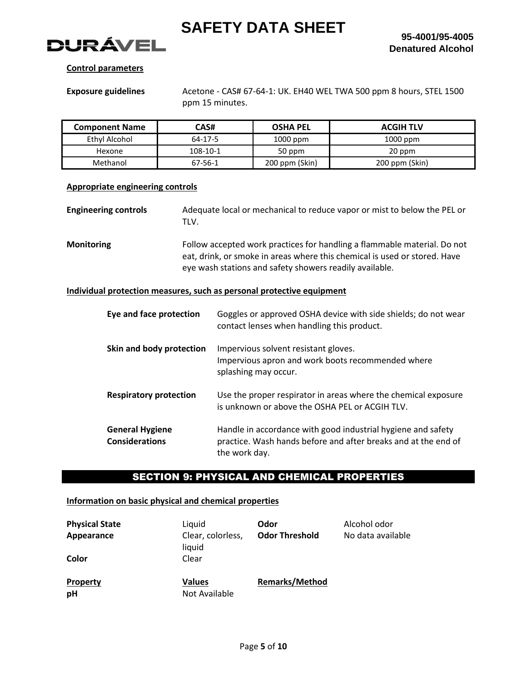

## **Control parameters**

**Exposure guidelines** Acetone - CAS# 67-64-1: UK. EH40 WEL TWA 500 ppm 8 hours, STEL 1500 ppm 15 minutes.

| <b>Component Name</b> | CAS#     | <b>OSHA PEL</b> | <b>ACGIH TLV</b> |
|-----------------------|----------|-----------------|------------------|
| Ethyl Alcohol         | 64-17-5  | $1000$ ppm      | $1000$ ppm       |
| Hexone                | 108-10-1 | 50 ppm          | 20 ppm           |
| Methanol              | 67-56-1  | 200 ppm (Skin)  | 200 ppm (Skin)   |

#### **Appropriate engineering controls**

**Engineering controls** Adequate local or mechanical to reduce vapor or mist to below the PEL or TLV.

**Monitoring** Follow accepted work practices for handling a flammable material. Do not eat, drink, or smoke in areas where this chemical is used or stored. Have eye wash stations and safety showers readily available.

# **Individual protection measures, such as personal protective equipment**

| Eye and face protection                         | Goggles or approved OSHA device with side shields; do not wear<br>contact lenses when handling this product.                                    |
|-------------------------------------------------|-------------------------------------------------------------------------------------------------------------------------------------------------|
| Skin and body protection                        | Impervious solvent resistant gloves.<br>Impervious apron and work boots recommended where<br>splashing may occur.                               |
| <b>Respiratory protection</b>                   | Use the proper respirator in areas where the chemical exposure<br>is unknown or above the OSHA PEL or ACGIH TLV.                                |
| <b>General Hygiene</b><br><b>Considerations</b> | Handle in accordance with good industrial hygiene and safety<br>practice. Wash hands before and after breaks and at the end of<br>the work day. |

# SECTION 9: PHYSICAL AND CHEMICAL PROPERTIES

## **Information on basic physical and chemical properties**

| <b>Physical State</b><br>Appearance<br>Color | Liquid<br>Clear, colorless,<br>liquid<br>Clear | Odor<br><b>Odor Threshold</b> | Alcohol odor<br>No data available |
|----------------------------------------------|------------------------------------------------|-------------------------------|-----------------------------------|
| <b>Property</b><br>pH                        | <b>Values</b><br>Not Available                 | <b>Remarks/Method</b>         |                                   |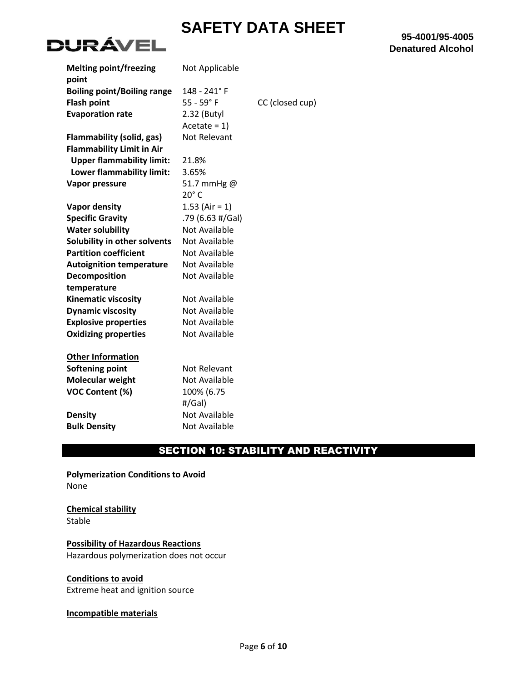

| <b>Melting point/freezing</b><br>point | Not Applicable       |                 |
|----------------------------------------|----------------------|-----------------|
| <b>Boiling point/Boiling range</b>     | 148 - 241° F         |                 |
| <b>Flash point</b>                     | $55 - 59°$ F         | CC (closed cup) |
| <b>Evaporation rate</b>                | 2.32 (Butyl          |                 |
|                                        | $Acetate = 1$        |                 |
| <b>Flammability (solid, gas)</b>       | Not Relevant         |                 |
| <b>Flammability Limit in Air</b>       |                      |                 |
| <b>Upper flammability limit:</b>       | 21.8%                |                 |
| Lower flammability limit:              | 3.65%                |                 |
| Vapor pressure                         | 51.7 mmHg @          |                 |
|                                        | $20^\circ$ C         |                 |
| <b>Vapor density</b>                   | 1.53 (Air = 1)       |                 |
| <b>Specific Gravity</b>                | .79 (6.63 #/Gal)     |                 |
| <b>Water solubility</b>                | <b>Not Available</b> |                 |
| Solubility in other solvents           | Not Available        |                 |
| <b>Partition coefficient</b>           | Not Available        |                 |
| <b>Autoignition temperature</b>        | <b>Not Available</b> |                 |
| Decomposition                          | Not Available        |                 |
| temperature                            |                      |                 |
| <b>Kinematic viscosity</b>             | Not Available        |                 |
| <b>Dynamic viscosity</b>               | Not Available        |                 |
| <b>Explosive properties</b>            | <b>Not Available</b> |                 |
| <b>Oxidizing properties</b>            | Not Available        |                 |
|                                        |                      |                 |
| <b>Other Information</b>               |                      |                 |
| <b>Softening point</b>                 | <b>Not Relevant</b>  |                 |
| <b>Molecular weight</b>                | Not Available        |                 |
| <b>VOC Content (%)</b>                 | 100% (6.75           |                 |
|                                        | #/Gal)               |                 |
| <b>Density</b>                         | Not Available        |                 |
| <b>Bulk Density</b>                    | Not Available        |                 |

# **95-4001/95-4005 Denatured Alcohol**

# SECTION 10: STABILITY AND REACTIVITY

**Polymerization Conditions to Avoid** None

**Chemical stability** Stable

**Possibility of Hazardous Reactions** Hazardous polymerization does not occur

# **Conditions to avoid**

Extreme heat and ignition source

# **Incompatible materials**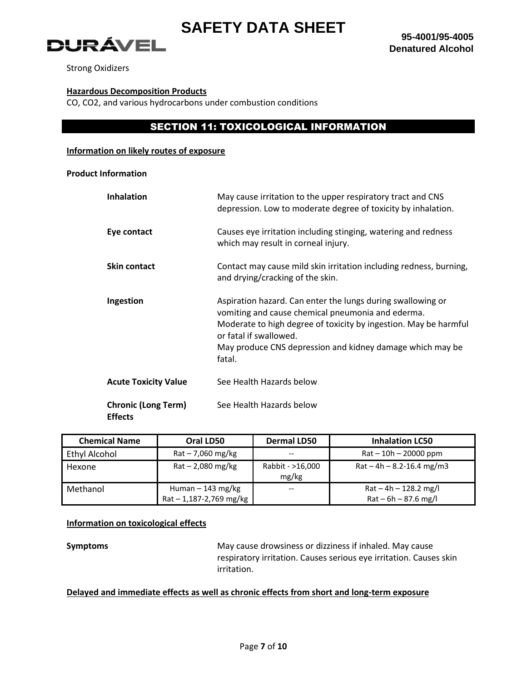

Strong Oxidizers

#### **Hazardous Decomposition Products**

CO, CO2, and various hydrocarbons under combustion conditions

# SECTION 11: TOXICOLOGICAL INFORMATION

#### **Information on likely routes of exposure**

#### **Product Information**

| <b>Inhalation</b>                            | May cause irritation to the upper respiratory tract and CNS<br>depression. Low to moderate degree of toxicity by inhalation.                                                                                                                                                          |
|----------------------------------------------|---------------------------------------------------------------------------------------------------------------------------------------------------------------------------------------------------------------------------------------------------------------------------------------|
| Eye contact                                  | Causes eye irritation including stinging, watering and redness<br>which may result in corneal injury.                                                                                                                                                                                 |
| <b>Skin contact</b>                          | Contact may cause mild skin irritation including redness, burning,<br>and drying/cracking of the skin.                                                                                                                                                                                |
| Ingestion                                    | Aspiration hazard. Can enter the lungs during swallowing or<br>vomiting and cause chemical pneumonia and ederma.<br>Moderate to high degree of toxicity by ingestion. May be harmful<br>or fatal if swallowed.<br>May produce CNS depression and kidney damage which may be<br>fatal. |
| <b>Acute Toxicity Value</b>                  | See Health Hazards below                                                                                                                                                                                                                                                              |
| <b>Chronic (Long Term)</b><br><b>Effects</b> | See Health Hazards below                                                                                                                                                                                                                                                              |

| <b>Chemical Name</b> | Oral LD50                                         | <b>Dermal LD50</b>        | <b>Inhalation LC50</b>                            |
|----------------------|---------------------------------------------------|---------------------------|---------------------------------------------------|
| Ethyl Alcohol        | $Rat - 7,060$ mg/kg                               | --                        | $Rat - 10h - 20000$ ppm                           |
| Hexone               | $Rat - 2,080$ mg/kg                               | Rabbit - >16,000<br>mg/kg | $Rat - 4h - 8.2 - 16.4$ mg/m3                     |
| Methanol             | Human $-143$ mg/kg<br>$Rat - 1,187 - 2,769$ mg/kg | $- -$                     | $Rat - 4h - 128.2$ mg/l<br>$Rat - 6h - 87.6$ mg/l |

## **Information on toxicological effects**

**Symptoms** May cause drowsiness or dizziness if inhaled. May cause respiratory irritation. Causes serious eye irritation. Causes skin irritation.

# **Delayed and immediate effects as well as chronic effects from short and long-term exposure**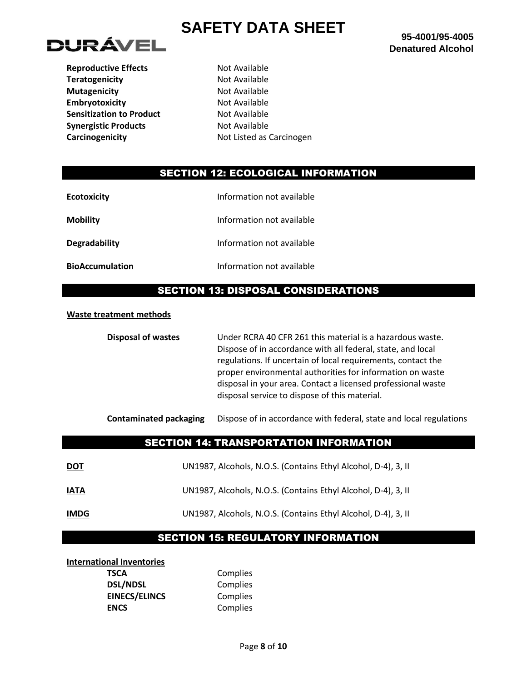

**Reproductive Effects** Not Available **Teratogenicity Not Available Mutagenicity Not Available Embryotoxicity** Not Available **Sensitization to Product** Not Available **Synergistic Products** Not Available

**Carcinogenicity Carcinogenicity Not Listed as Carcinogen** 

# SECTION 12: ECOLOGICAL INFORMATION

| <b>Ecotoxicity</b>     | Information not available |
|------------------------|---------------------------|
| <b>Mobility</b>        | Information not available |
| Degradability          | Information not available |
| <b>BioAccumulation</b> | Information not available |

# SECTION 13: DISPOSAL CONSIDERATIONS

#### **Waste treatment methods**

**Disposal of wastes** Under RCRA 40 CFR 261 this material is a hazardous waste. Dispose of in accordance with all federal, state, and local regulations. If uncertain of local requirements, contact the proper environmental authorities for information on waste disposal in your area. Contact a licensed professional waste disposal service to dispose of this material.

**Contaminated packaging** Dispose of in accordance with federal, state and local regulations

# SECTION 14: TRANSPORTATION INFORMATION

| <u>DOT</u>  | UN1987, Alcohols, N.O.S. (Contains Ethyl Alcohol, D-4), 3, II |
|-------------|---------------------------------------------------------------|
| IATA        | UN1987, Alcohols, N.O.S. (Contains Ethyl Alcohol, D-4), 3, II |
| <b>IMDG</b> | UN1987, Alcohols, N.O.S. (Contains Ethyl Alcohol, D-4), 3, II |

# SECTION 15: REGULATORY INFORMATION

#### **International Inventories**

**TSCA** Complies **DSL/NDSL** Complies **EINECS/ELINCS** Complies **ENCS** Complies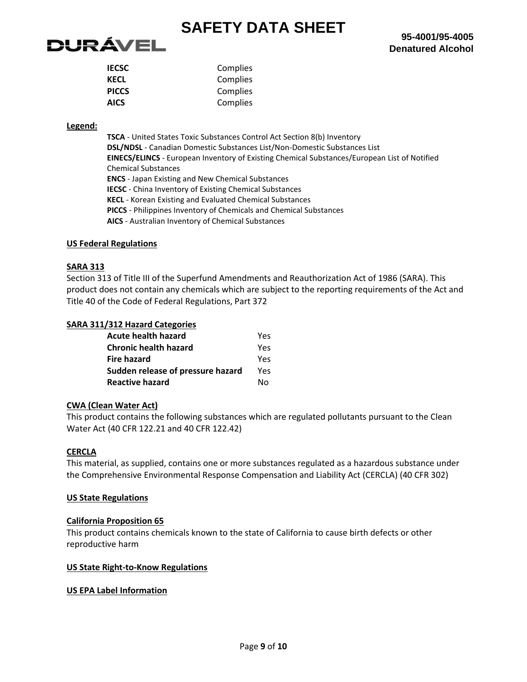

| <b>IECSC</b> | Complies |
|--------------|----------|
| <b>KECL</b>  | Complies |
| <b>PICCS</b> | Complies |
| <b>AICS</b>  | Complies |
|              |          |

## **Legend:**

**TSCA** - United States Toxic Substances Control Act Section 8(b) Inventory **DSL/NDSL** - Canadian Domestic Substances List/Non-Domestic Substances List **EINECS/ELINCS** - European Inventory of Existing Chemical Substances/European List of Notified Chemical Substances **ENCS** - Japan Existing and New Chemical Substances **IECSC** - China Inventory of Existing Chemical Substances **KECL** - Korean Existing and Evaluated Chemical Substances **PICCS** - Philippines Inventory of Chemicals and Chemical Substances **AICS** - Australian Inventory of Chemical Substances

# **US Federal Regulations**

# **SARA 313**

Section 313 of Title III of the Superfund Amendments and Reauthorization Act of 1986 (SARA). This product does not contain any chemicals which are subject to the reporting requirements of the Act and Title 40 of the Code of Federal Regulations, Part 372

# **SARA 311/312 Hazard Categories**

| Acute health hazard               | Yes |
|-----------------------------------|-----|
| <b>Chronic health hazard</b>      | Yes |
| <b>Fire hazard</b>                | Yes |
| Sudden release of pressure hazard | Yes |
| <b>Reactive hazard</b>            | N٥  |

#### **CWA (Clean Water Act)**

This product contains the following substances which are regulated pollutants pursuant to the Clean Water Act (40 CFR 122.21 and 40 CFR 122.42)

#### **CERCLA**

This material, as supplied, contains one or more substances regulated as a hazardous substance under the Comprehensive Environmental Response Compensation and Liability Act (CERCLA) (40 CFR 302)

## **US State Regulations**

#### **California Proposition 65**

This product contains chemicals known to the state of California to cause birth defects or other reproductive harm

#### **US State Right-to-Know Regulations**

#### **US EPA Label Information**